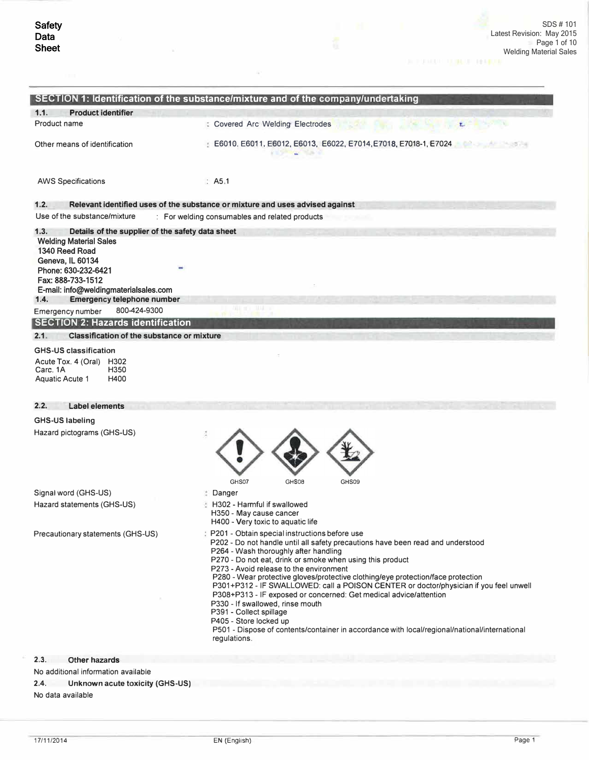$\alpha$ 

|                                                                                                                                                                                                                      | SECTION 1: Identification of the substance/mixture and of the company/undertaking                                                                                                                                                                                                                                                                                                                                                                                                                                                                                                                                                                                                                                                               |
|----------------------------------------------------------------------------------------------------------------------------------------------------------------------------------------------------------------------|-------------------------------------------------------------------------------------------------------------------------------------------------------------------------------------------------------------------------------------------------------------------------------------------------------------------------------------------------------------------------------------------------------------------------------------------------------------------------------------------------------------------------------------------------------------------------------------------------------------------------------------------------------------------------------------------------------------------------------------------------|
| 1.1.<br><b>Product identifier</b>                                                                                                                                                                                    |                                                                                                                                                                                                                                                                                                                                                                                                                                                                                                                                                                                                                                                                                                                                                 |
| Product name                                                                                                                                                                                                         | <b>: Covered Arc Welding Electrodes</b><br>T.                                                                                                                                                                                                                                                                                                                                                                                                                                                                                                                                                                                                                                                                                                   |
| Other means of identification                                                                                                                                                                                        | E6010, E6011, E6012, E6013, E6022, E7014, E7018, E7018-1, E7024                                                                                                                                                                                                                                                                                                                                                                                                                                                                                                                                                                                                                                                                                 |
| <b>AWS Specifications</b>                                                                                                                                                                                            | $\therefore$ A5.1                                                                                                                                                                                                                                                                                                                                                                                                                                                                                                                                                                                                                                                                                                                               |
| 1.2.                                                                                                                                                                                                                 | Relevant identified uses of the substance or mixture and uses advised against                                                                                                                                                                                                                                                                                                                                                                                                                                                                                                                                                                                                                                                                   |
| Use of the substance/mixture                                                                                                                                                                                         | : For welding consumables and related products                                                                                                                                                                                                                                                                                                                                                                                                                                                                                                                                                                                                                                                                                                  |
| 1.3.<br>Details of the supplier of the safety data sheet<br><b>Welding Material Sales</b><br>1340 Reed Road<br>Geneva, IL 60134<br>Phone: 630-232-6421<br>Fax: 888-733-1512<br>E-mail: info@weldingmaterialsales.com |                                                                                                                                                                                                                                                                                                                                                                                                                                                                                                                                                                                                                                                                                                                                                 |
| <b>Emergency telephone number</b><br>1.4.                                                                                                                                                                            |                                                                                                                                                                                                                                                                                                                                                                                                                                                                                                                                                                                                                                                                                                                                                 |
| 800-424-9300<br>Emergency number                                                                                                                                                                                     |                                                                                                                                                                                                                                                                                                                                                                                                                                                                                                                                                                                                                                                                                                                                                 |
| <b>SECTION 2: Hazards identification</b>                                                                                                                                                                             |                                                                                                                                                                                                                                                                                                                                                                                                                                                                                                                                                                                                                                                                                                                                                 |
| 2.1.<br><b>Classification of the substance or mixture</b>                                                                                                                                                            |                                                                                                                                                                                                                                                                                                                                                                                                                                                                                                                                                                                                                                                                                                                                                 |
| <b>GHS-US classification</b><br>Acute Tox. 4 (Oral) H302<br>Carc. 1A<br>H350<br>H400<br>Aquatic Acute 1                                                                                                              |                                                                                                                                                                                                                                                                                                                                                                                                                                                                                                                                                                                                                                                                                                                                                 |
| 2.2.<br><b>Label elements</b>                                                                                                                                                                                        |                                                                                                                                                                                                                                                                                                                                                                                                                                                                                                                                                                                                                                                                                                                                                 |
| <b>GHS-US labeling</b>                                                                                                                                                                                               |                                                                                                                                                                                                                                                                                                                                                                                                                                                                                                                                                                                                                                                                                                                                                 |
| Hazard pictograms (GHS-US)                                                                                                                                                                                           | GHS08<br>GHS07<br>GHS09                                                                                                                                                                                                                                                                                                                                                                                                                                                                                                                                                                                                                                                                                                                         |
| Signal word (GHS-US)                                                                                                                                                                                                 | Danger                                                                                                                                                                                                                                                                                                                                                                                                                                                                                                                                                                                                                                                                                                                                          |
| Hazard statements (GHS-US)                                                                                                                                                                                           | H302 - Harmful if swallowed<br>H350 - May cause cancer<br>H400 - Very toxic to aquatic life                                                                                                                                                                                                                                                                                                                                                                                                                                                                                                                                                                                                                                                     |
| Precautionary statements (GHS-US)                                                                                                                                                                                    | : P201 - Obtain special instructions before use<br>P202 - Do not handle until all safety precautions have been read and understood<br>P264 - Wash thoroughly after handling<br>P270 - Do not eat, drink or smoke when using this product<br>P273 - Avoid release to the environment<br>P280 - Wear protective gloves/protective clothing/eye protection/face protection<br>P301+P312 - IF SWALLOWED: call a POISON CENTER or doctor/physician if you feel unwell<br>P308+P313 - IF exposed or concerned: Get medical advice/attention<br>P330 - If swallowed, rinse mouth<br>P391 - Collect spillage<br>P405 - Store locked up<br>P501 - Dispose of contents/container in accordance with local/regional/national/international<br>regulations. |
| 2.3.<br><b>Other hazards</b>                                                                                                                                                                                         |                                                                                                                                                                                                                                                                                                                                                                                                                                                                                                                                                                                                                                                                                                                                                 |
| No additional information available                                                                                                                                                                                  |                                                                                                                                                                                                                                                                                                                                                                                                                                                                                                                                                                                                                                                                                                                                                 |
| 2.4.<br>Unknown acute toxicity (GHS-US)                                                                                                                                                                              |                                                                                                                                                                                                                                                                                                                                                                                                                                                                                                                                                                                                                                                                                                                                                 |

No data available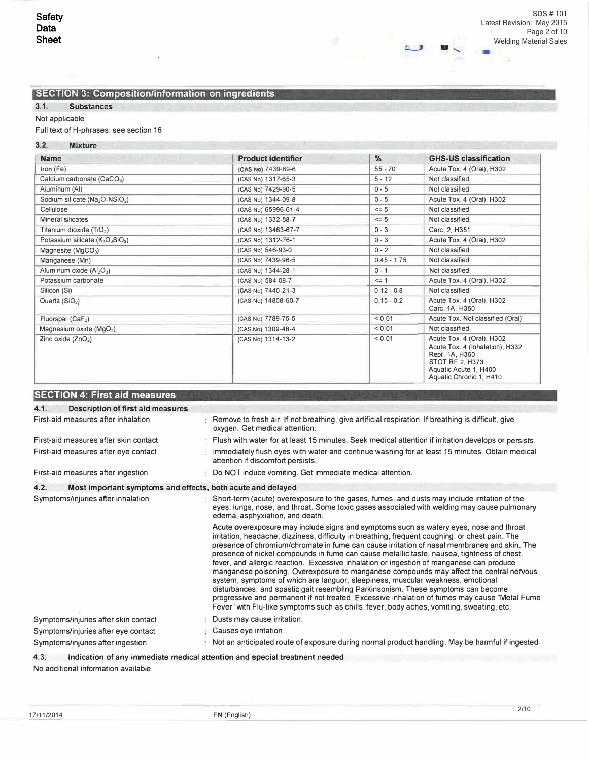Ġ,

41

# **SECTION 3: Composition/information on ingredients**

# 3.1. Substances

# Not applicable

# Full text of H-phrases: see section 16

# 3.2. Mixture

| <b>THE CARD LEADER</b><br><b>Name</b>                                | <b>Product identifier</b> | $\%$          | <b>GHS-US classification</b>                                                                                                                                 |
|----------------------------------------------------------------------|---------------------------|---------------|--------------------------------------------------------------------------------------------------------------------------------------------------------------|
| Iron (Fe)                                                            | (CAS No) 7439-89-6        | $55 - 70$     | Acute Tox. 4 (Oral), H302                                                                                                                                    |
| Calcium carbonate (CaCO <sub>3</sub> )                               | (CAS No) 1317-65-3        | $5 - 12$      | Not classified                                                                                                                                               |
| Aluminum (AI)                                                        | (CAS No) 7429-90-5        | $0 - 5$       | Not classified                                                                                                                                               |
| Sodium silicate (Na <sub>2</sub> O-NSiO <sub>2</sub> )               | (CAS No) 1344-09-8        | $0 - 5$       | Acute Tox. 4 (Oral), H302                                                                                                                                    |
| Cellulose                                                            | (CAS No) 65996-61-4       | $\leq$ 5      | Not classified                                                                                                                                               |
| Mineral silicates                                                    | (CAS No) 1332-58-7        | $\leq$ 5      | Not classified                                                                                                                                               |
| Titanium dioxide $(TiO2)$                                            | (CAS No) 13463-67-7       | $0 - 3$       | Carc 2, H351                                                                                                                                                 |
| Potassium silicate (K <sub>2</sub> O <sub>3</sub> SiO <sub>3</sub> ) | (CAS No) 1312-76-1        | $0 - 3$       | Acute Tox. 4 (Oral), H302                                                                                                                                    |
| Magnesite ( $MqCO3$ )                                                | (CAS No) 546-93-0         | $0 - 2$       | Not classified                                                                                                                                               |
| Manganese (Mn)                                                       | (CAS No) 7439-96-5        | $0.45 - 1.75$ | Not classified                                                                                                                                               |
| Aluminum oxide $(Al2O3)$                                             | (CAS No) 1344-28-1        | $0 - 1$       | Not classified                                                                                                                                               |
| Potassium carbonate                                                  | (CAS No) 584-08-7         | $\leq$ 1      | Acute Tox. 4 (Oral), H302                                                                                                                                    |
| Silicon (Si)                                                         | (CAS No) 7440-21-3        | $0.12 - 0.8$  | Not classified                                                                                                                                               |
| Quartz $(SIO2)$                                                      | (CAS No) 14808-60-7       | $0.15 - 0.2$  | Acute Tox. 4 (Oral), H302<br>Carc. 1A, H350                                                                                                                  |
| Fluorspar (CaF2)                                                     | (CAS No) 7789-75-5        | < 0.01        | Acute Tox. Not classified (Oral)                                                                                                                             |
| Magnesium oxide $(MgO2)$                                             | (CAS No) 1309-48-4        | < 0.01        | Not classified                                                                                                                                               |
| Zinc oxide $(ZnO2)$                                                  | (CAS No) 1314-13-2        | < 0.01        | Acute Tox. 4 (Oral), H302<br>Acute Tox. 4 (Inhalation), H332<br>Repr. 1A, H360<br><b>STOT RE 2, H373</b><br>Aquatic Acute 1, H400<br>Aquatic Chronic 1, H410 |

# **SECTION 4: First aid measures**

| 4.1.<br>Description of first aid measures                           |                                                                                                                                                                                                                                                                                                                                                                                                                                                                                                                                                                                                                                                                                                                                                                                                                                                                                                                                                     |
|---------------------------------------------------------------------|-----------------------------------------------------------------------------------------------------------------------------------------------------------------------------------------------------------------------------------------------------------------------------------------------------------------------------------------------------------------------------------------------------------------------------------------------------------------------------------------------------------------------------------------------------------------------------------------------------------------------------------------------------------------------------------------------------------------------------------------------------------------------------------------------------------------------------------------------------------------------------------------------------------------------------------------------------|
| First-aid measures after inhalation                                 | Remove to fresh air. If not breathing, give artificial respiration. If breathing is difficult, give<br>oxygen. Get medical attention.                                                                                                                                                                                                                                                                                                                                                                                                                                                                                                                                                                                                                                                                                                                                                                                                               |
| First-aid measures after skin contact                               | Flush with water for at least 15 minutes. Seek medical attention if irritation develops or persists.                                                                                                                                                                                                                                                                                                                                                                                                                                                                                                                                                                                                                                                                                                                                                                                                                                                |
| First-aid measures after eye contact                                | Immediately flush eyes with water and continue washing for at least 15 minutes. Obtain medical<br>attention if discomfort persists.                                                                                                                                                                                                                                                                                                                                                                                                                                                                                                                                                                                                                                                                                                                                                                                                                 |
| First-aid measures after ingestion                                  | Do NOT induce vomiting. Get immediate medical attention.                                                                                                                                                                                                                                                                                                                                                                                                                                                                                                                                                                                                                                                                                                                                                                                                                                                                                            |
| 4.2.<br>Most important symptoms and effects, both acute and delayed |                                                                                                                                                                                                                                                                                                                                                                                                                                                                                                                                                                                                                                                                                                                                                                                                                                                                                                                                                     |
| Symptoms/injuries after inhalation                                  | Short-term (acute) overexposure to the gases, fumes, and dusts may include irritation of the<br>eyes, lungs, nose, and throat. Some toxic gases associated with welding may cause pulmonary<br>edema, asphyxiation, and death.                                                                                                                                                                                                                                                                                                                                                                                                                                                                                                                                                                                                                                                                                                                      |
|                                                                     | Acute overexposure may include signs and symptoms such as watery eyes, nose and throat<br>irritation, headache, dizziness, difficulty in breathing, frequent coughing, or chest pain. The<br>presence of chromium/chromate in fume can cause irritation of nasal membranes and skin. The<br>presence of nickel compounds in fume can cause metallic taste, nausea, tightness of chest,<br>fever, and allergic reaction. Excessive inhalation or ingestion of manganese can produce<br>manganese poisoning. Overexposure to manganese compounds may affect the central nervous<br>system, symptoms of which are languor, sleepiness, muscular weakness, emotional<br>disturbances, and spastic gait resembling Parkinsonism. These symptoms can become<br>progressive and permanent if not treated. Excessive inhalation of fumes may cause "Metal Fume<br>Fever" with Flu-like symptoms such as chills, fever, body aches, vomiting, sweating, etc. |
| Symptoms/injuries after skin contact                                | Dusts may cause irritation.                                                                                                                                                                                                                                                                                                                                                                                                                                                                                                                                                                                                                                                                                                                                                                                                                                                                                                                         |
| Symptoms/injuries after eye contact                                 | Causes eye irritation.                                                                                                                                                                                                                                                                                                                                                                                                                                                                                                                                                                                                                                                                                                                                                                                                                                                                                                                              |
| Symptoms/injuries after ingestion                                   | Not an anticipated route of exposure during normal product handling. May be harmful if ingested.                                                                                                                                                                                                                                                                                                                                                                                                                                                                                                                                                                                                                                                                                                                                                                                                                                                    |
| 4.3.                                                                | Indication of any immediate medical attention and special treatment needed                                                                                                                                                                                                                                                                                                                                                                                                                                                                                                                                                                                                                                                                                                                                                                                                                                                                          |
| No additional information available                                 |                                                                                                                                                                                                                                                                                                                                                                                                                                                                                                                                                                                                                                                                                                                                                                                                                                                                                                                                                     |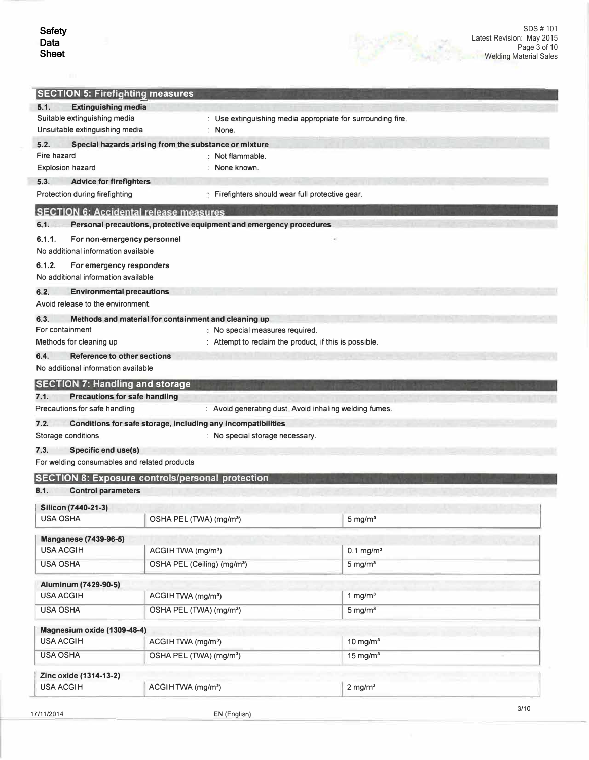i.

17/11/2014

|                                               | <b>SECTION 5: Firefighting measures</b>                             |                                                             |  |
|-----------------------------------------------|---------------------------------------------------------------------|-------------------------------------------------------------|--|
| <b>Extinguishing media</b><br>5.1.            |                                                                     |                                                             |  |
| Suitable extinguishing media                  |                                                                     | : Use extinguishing media appropriate for surrounding fire. |  |
| Unsuitable extinguishing media                | : None.                                                             |                                                             |  |
| 5.2.                                          | Special hazards arising from the substance or mixture               |                                                             |  |
| Fire hazard                                   | Not flammable.                                                      |                                                             |  |
| <b>Explosion hazard</b>                       | None known.                                                         |                                                             |  |
| 5.3.<br><b>Advice for firefighters</b>        |                                                                     |                                                             |  |
| Protection during firefighting                | Firefighters should wear full protective gear.                      |                                                             |  |
|                                               | <b>SECTION 6: Accidental release measures</b>                       |                                                             |  |
| 6.1.                                          | Personal precautions, protective equipment and emergency procedures |                                                             |  |
| 6.1.1.<br>No additional information available | For non-emergency personnel                                         |                                                             |  |
| 6.1.2.                                        | For emergency responders                                            |                                                             |  |
| No additional information available           |                                                                     |                                                             |  |
| 6.2.<br>Avoid release to the environment      | <b>Environmental precautions</b>                                    |                                                             |  |
| 6.3.                                          | Methods and material for containment and cleaning up                |                                                             |  |
| For containment                               | No special measures required.                                       |                                                             |  |
| Methods for cleaning up                       | : Attempt to reclaim the product, if this is possible.              |                                                             |  |
| 6.4.                                          | Reference to other sections                                         |                                                             |  |
| No additional information available           |                                                                     |                                                             |  |
| <b>SECTION 7: Handling and storage</b>        |                                                                     |                                                             |  |
| 7.1.                                          | <b>Precautions for safe handling</b>                                |                                                             |  |
|                                               |                                                                     |                                                             |  |
| Precautions for safe handling                 |                                                                     | : Avoid generating dust. Avoid inhaling welding fumes.      |  |
| 7.2.                                          | Conditions for safe storage, including any incompatibilities        |                                                             |  |
| Storage conditions                            | : No special storage necessary.                                     |                                                             |  |
| 7.3.                                          |                                                                     |                                                             |  |
| Specific end use(s)                           | For welding consumables and related products                        |                                                             |  |
|                                               |                                                                     |                                                             |  |
| 8.1.<br><b>Control parameters</b>             | <b>SECTION 8: Exposure controls/personal protection</b>             |                                                             |  |
|                                               |                                                                     |                                                             |  |
| Silicon (7440-21-3)<br><b>USA OSHA</b>        | OSHA PEL (TWA) (mg/m <sup>3</sup> )                                 |                                                             |  |
|                                               |                                                                     | $5$ mg/m $3$                                                |  |
| <b>Manganese (7439-96-5)</b>                  |                                                                     |                                                             |  |
| <b>USA ACGIH</b>                              | ACGIHTWA (mg/m <sup>3</sup> )                                       | $0.1 \text{ mg/m}^3$                                        |  |
| <b>USA OSHA</b>                               | OSHA PEL (Ceiling) (mg/m <sup>3</sup> )                             | $5 \text{ mg/m}^3$                                          |  |
| Aluminum (7429-90-5)                          |                                                                     |                                                             |  |
| <b>USA ACGIH</b>                              | ACGIHTWA (mg/m <sup>3</sup> )                                       | 1 mg/ $m3$                                                  |  |
| <b>USA OSHA</b>                               | OSHA PEL (TWA) (mg/m <sup>3</sup> )                                 | $5 \text{ mg/m}^3$                                          |  |
| Magnesium oxide (1309-48-4)                   |                                                                     |                                                             |  |
| <b>USA ACGIH</b>                              | ACGIHTWA (mg/m <sup>3</sup> )                                       | $10$ mg/m <sup>3</sup>                                      |  |
| <b>USA OSHA</b>                               | OSHA PEL (TWA) (mg/m <sup>3</sup> )                                 | $15 \text{ mg/m}^3$                                         |  |
|                                               |                                                                     |                                                             |  |
| Zinc oxide (1314-13-2)<br><b>USA ACGIH</b>    | ACGIHTWA (mg/m <sup>3</sup> )                                       | $2$ mg/m <sup>3</sup>                                       |  |

EN (English)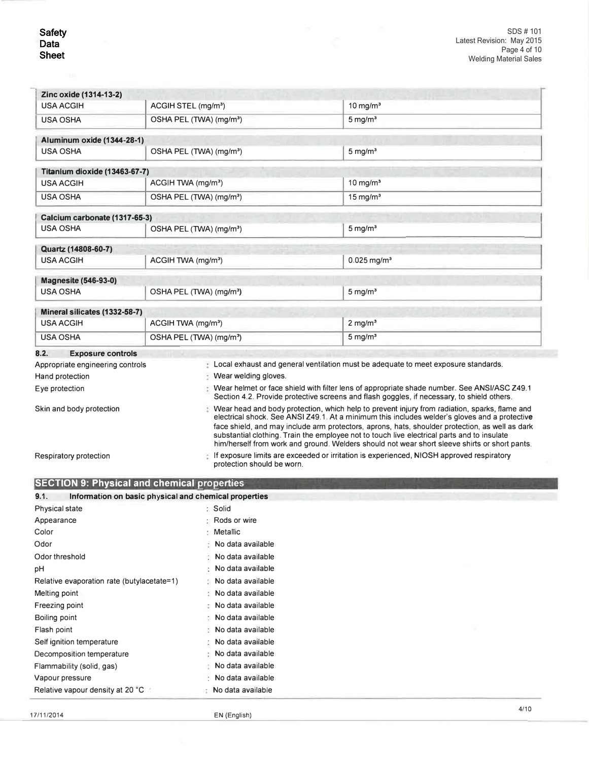| Zinc oxide (1314-13-2)                                       |                                                                |                                                                                                                                                                                                                                                                                                   |  |  |  |
|--------------------------------------------------------------|----------------------------------------------------------------|---------------------------------------------------------------------------------------------------------------------------------------------------------------------------------------------------------------------------------------------------------------------------------------------------|--|--|--|
| <b>USA ACGIH</b>                                             | ACGIH STEL (mg/m <sup>3</sup> )                                | 10 mg/ $m3$                                                                                                                                                                                                                                                                                       |  |  |  |
| <b>USA OSHA</b>                                              | OSHA PEL (TWA) (mg/m <sup>3</sup> )                            | $5 \,\mathrm{mq/m^3}$                                                                                                                                                                                                                                                                             |  |  |  |
| Aluminum oxide (1344-28-1)                                   |                                                                |                                                                                                                                                                                                                                                                                                   |  |  |  |
| <b>USA OSHA</b>                                              | OSHA PEL (TWA) (mq/m <sup>3</sup> )                            | $5 \text{ mg/m}^3$                                                                                                                                                                                                                                                                                |  |  |  |
| Titanium dioxide (13463-67-7)                                |                                                                |                                                                                                                                                                                                                                                                                                   |  |  |  |
| <b>USA ACGIH</b>                                             | ACGIH TWA (mg/m <sup>3</sup> )                                 | $10$ mg/m <sup>3</sup>                                                                                                                                                                                                                                                                            |  |  |  |
| <b>USA OSHA</b>                                              | OSHA PEL (TWA) (mg/m <sup>3</sup> )                            | $15 \text{ mg/m}^3$                                                                                                                                                                                                                                                                               |  |  |  |
| Calcium carbonate (1317-65-3)                                |                                                                |                                                                                                                                                                                                                                                                                                   |  |  |  |
| <b>USA OSHA</b>                                              | OSHA PEL (TWA) (mg/m <sup>3</sup> )                            | $5 \text{ mg/m}^3$                                                                                                                                                                                                                                                                                |  |  |  |
| Quartz (14808-60-7)                                          |                                                                |                                                                                                                                                                                                                                                                                                   |  |  |  |
| <b>USA ACGIH</b>                                             | ACGIH TWA (mg/m <sup>3</sup> )                                 | $0.025$ mg/m <sup>3</sup>                                                                                                                                                                                                                                                                         |  |  |  |
| <b>Magnesite (546-93-0)</b>                                  |                                                                |                                                                                                                                                                                                                                                                                                   |  |  |  |
| <b>USA OSHA</b>                                              | OSHA PEL (TWA) (mg/m <sup>3</sup> )                            | $5 \text{ mg/m}^3$                                                                                                                                                                                                                                                                                |  |  |  |
| Mineral silicates (1332-58-7)                                |                                                                |                                                                                                                                                                                                                                                                                                   |  |  |  |
| <b>USA ACGIH</b>                                             | ACGIH TWA (mg/m <sup>3</sup> )                                 | $2$ mg/m <sup>3</sup>                                                                                                                                                                                                                                                                             |  |  |  |
| <b>USA OSHA</b>                                              | OSHA PEL (TWA) (mg/m <sup>3</sup> )                            | $5 \text{ mg/m}^3$                                                                                                                                                                                                                                                                                |  |  |  |
|                                                              |                                                                |                                                                                                                                                                                                                                                                                                   |  |  |  |
| 8.2.                                                         |                                                                |                                                                                                                                                                                                                                                                                                   |  |  |  |
| <b>Exposure controls</b><br>Appropriate engineering controls |                                                                | Local exhaust and general ventilation must be adequate to meet exposure standards.                                                                                                                                                                                                                |  |  |  |
| Hand protection                                              | Wear welding gloves.                                           |                                                                                                                                                                                                                                                                                                   |  |  |  |
| Eye protection                                               |                                                                | Wear helmet or face shield with filter lens of appropriate shade number. See ANSI/ASC Z49.1                                                                                                                                                                                                       |  |  |  |
|                                                              |                                                                | Section 4.2. Provide protective screens and flash goggles, if necessary, to shield others,                                                                                                                                                                                                        |  |  |  |
| Skin and body protection                                     |                                                                | Wear head and body protection, which help to prevent injury from radiation, sparks, flame and<br>electrical shock. See ANSI Z49.1. At a minimum this includes welder's gloves and a protective<br>face shield, and may include arm protectors, aprons, hats, shoulder protection, as well as dark |  |  |  |
|                                                              |                                                                | substantial clothing. Train the employee not to touch live electrical parts and to insulate<br>him/herself from work and ground. Welders should not wear short sleeve shirts or short pants.                                                                                                      |  |  |  |
| Respiratory protection                                       | protection should be worn.                                     | If exposure limits are exceeded or irritation is experienced, NIOSH approved respiratory                                                                                                                                                                                                          |  |  |  |
|                                                              |                                                                |                                                                                                                                                                                                                                                                                                   |  |  |  |
| 9.1.                                                         | <b>SECTION 9: Physical and chemical properties</b>             |                                                                                                                                                                                                                                                                                                   |  |  |  |
| Physical state                                               | Information on basic physical and chemical properties<br>Solid |                                                                                                                                                                                                                                                                                                   |  |  |  |
| Appearance                                                   | Rods or wire                                                   |                                                                                                                                                                                                                                                                                                   |  |  |  |
| Color                                                        | Metallic                                                       |                                                                                                                                                                                                                                                                                                   |  |  |  |
| Odor                                                         | No data available                                              |                                                                                                                                                                                                                                                                                                   |  |  |  |
| Odor threshold                                               | No data available                                              |                                                                                                                                                                                                                                                                                                   |  |  |  |
| рH                                                           | No data available                                              |                                                                                                                                                                                                                                                                                                   |  |  |  |
| Relative evaporation rate (butylacetate=1)                   | No data available                                              |                                                                                                                                                                                                                                                                                                   |  |  |  |
| Melting point                                                | No data available                                              |                                                                                                                                                                                                                                                                                                   |  |  |  |
| Freezing point                                               | No data available                                              |                                                                                                                                                                                                                                                                                                   |  |  |  |
| Boiling point                                                | No data available                                              |                                                                                                                                                                                                                                                                                                   |  |  |  |
| Flash point                                                  | No data available                                              |                                                                                                                                                                                                                                                                                                   |  |  |  |
| Self ignition temperature                                    | No data available                                              |                                                                                                                                                                                                                                                                                                   |  |  |  |
| Decomposition temperature                                    | No data available                                              |                                                                                                                                                                                                                                                                                                   |  |  |  |
| Flammability (solid, gas)                                    | No data available                                              |                                                                                                                                                                                                                                                                                                   |  |  |  |
| Vapour pressure                                              | No data available                                              |                                                                                                                                                                                                                                                                                                   |  |  |  |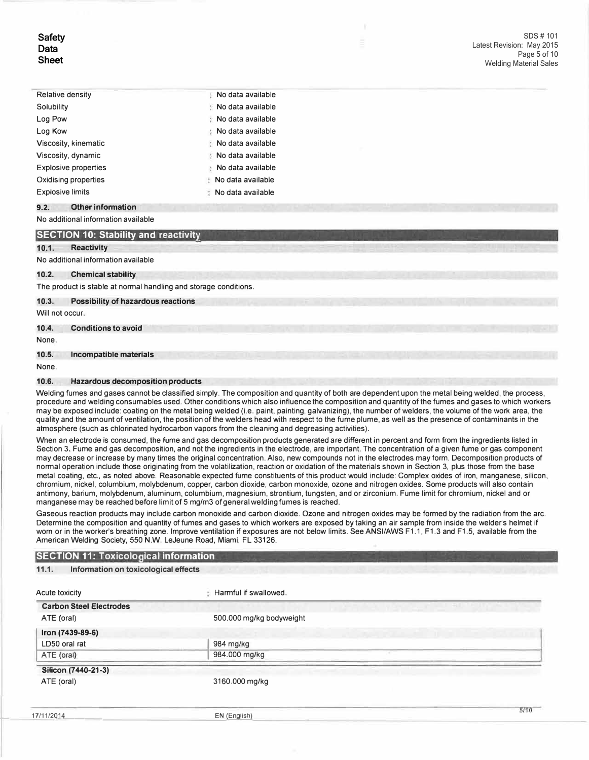| <b>Relative density</b>     | No data available              |
|-----------------------------|--------------------------------|
| Solubility                  | No data available              |
| Log Pow                     | No data available              |
| Log Kow                     | No data available<br>÷         |
| Viscosity, kinematic        | $\therefore$ No data available |
| Viscosity, dynamic          | No data available              |
| <b>Explosive properties</b> | No data available<br>÷         |
| Oxidising properties        | No data available              |
| <b>Explosive limits</b>     | No data available              |

## **9.2. Other information**

#### No additional information available

## **SECTION 10: Stability and reactivity**

#### 10.1. Reactivity

#### No additional information available

#### **10.2. Chemical stability**

The product is stable at normal handling and storage conditions.

#### **10.3. Possibility of hazardous reactions**

Will not occur.

## **10.4. Conditions to avoid**

None.

#### **10.5. Incompatible materials**

None.

#### **10.6. Hazardous decomposition products**

Welding fumes and gases cannot be classified simply. The composition and quantity of both are dependent upon the metal being welded, the process, procedure and welding consumables used. Other conditions which also influence the composition and quantity of the fumes and gases to which workers may be exposed include: coating on the metal being welded (i.e. paint, painting, galvanizing), the number of welders, the volume of the work area, the quality and the amount of ventilation, the position of the welders head with respect to the fume plume, as well as the presence of contaminants in the atmosphere (such as chlorinated hydrocarbon vapors from the cleaning and degreasing activities).

When an electrode is consumed, the fume and gas decomposition products generated are different in percent and form from the ingredients listed in Section 3. Fume and gas decomposition, and not the ingredients in the electrode, are important. The concentration of a given fume or gas component may decrease or increase by many times the original concentration. Also, new compounds not in the electrodes may form. Decomposition products of normal operation include those originating from the volatilization, reaction or oxidation of the materials shown in Section 3, plus those from the base metal coating, etc., as noted above. Reasonable expected fume constituents of this product would include: Complex oxides of iron, manganese, silicon, chromium, nickel, columbium, molybdenum, copper, carbon dioxide, carbon monoxide, ozone and nitrogen oxides. Some products will also contain antimony, barium, molybdenum, aluminum, columbium, magnesium, strontium, tungsten, and or zirconium. Fume limit for chromium, nickel and or manganese may be reached before limit of 5 mg/m3 of general welding fumes is reached.

Gaseous reaction products may include carbon monoxide and carbon dioxide. Ozone and nitrogen oxides may be formed by the radiation from the arc. Determine the composition and quantity of fumes and gases to which workers are exposed by taking an air sample from inside the welder's helmet if worn or in the worker's breathing zone. Improve ventilation if exposures are not below limits. See ANSI/AWS F1.1, F1.3 and F1.5, available from the American Welding Society, 550 N.W. LeJeune Road, Miami, FL 33126.

#### **SECTION 11: Toxicological information**

#### **11.1. Information on toxicological effects**

| Acute toxicity                 | Harmful if swallowed.    |  |  |
|--------------------------------|--------------------------|--|--|
| <b>Carbon Steel Electrodes</b> |                          |  |  |
| ATE (oral)                     | 500.000 mg/kg bodyweight |  |  |
| Iron (7439-89-6)               |                          |  |  |
| LD50 oral rat                  | 984 mg/kg                |  |  |
| ATE (oral)                     | 984.000 mg/kg            |  |  |
| Silicon (7440-21-3)            |                          |  |  |
| ATE (oral)                     | 3160.000 mg/kg           |  |  |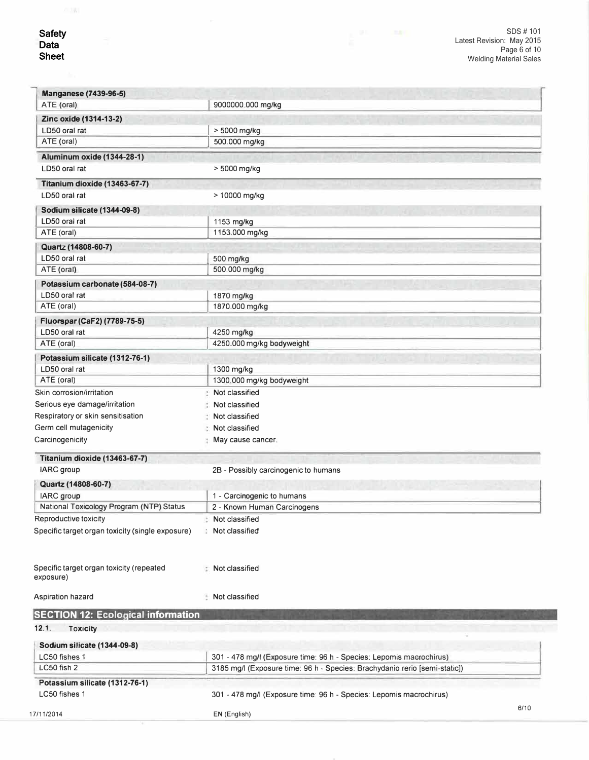17/11/2014

| <b>Manganese (7439-96-5)</b>                                  |                                                                            |      |
|---------------------------------------------------------------|----------------------------------------------------------------------------|------|
| ATE (oral)                                                    | 9000000.000 mg/kg                                                          |      |
| Zinc oxide (1314-13-2)                                        |                                                                            |      |
| LD50 oral rat                                                 | > 5000 mg/kg                                                               |      |
| ATE (oral)                                                    | 500.000 mg/kg                                                              |      |
| <b>Aluminum oxide (1344-28-1)</b>                             |                                                                            |      |
| LD50 oral rat                                                 | > 5000 mg/kg                                                               |      |
| Titanium dioxide (13463-67-7)                                 |                                                                            |      |
| LD50 oral rat                                                 | > 10000 mg/kg                                                              |      |
| Sodium silicate (1344-09-8)                                   |                                                                            |      |
| LD50 oral rat                                                 | 1153 mg/kg                                                                 |      |
| ATE (oral)                                                    | 1153.000 mg/kg                                                             |      |
| Quartz (14808-60-7)                                           |                                                                            |      |
| LD50 oral rat                                                 | 500 mg/kg                                                                  |      |
| ATE (oral)                                                    | 500.000 mg/kg                                                              |      |
|                                                               |                                                                            |      |
| Potassium carbonate (584-08-7)                                |                                                                            |      |
| LD50 oral rat<br>ATE (oral)                                   | 1870 mg/kg                                                                 |      |
|                                                               | 1870.000 mg/kg                                                             |      |
| Fluorspar (CaF2) (7789-75-5)                                  |                                                                            |      |
| LD50 oral rat                                                 | 4250 mg/kg                                                                 |      |
| ATE (oral)                                                    | 4250.000 mg/kg bodyweight                                                  |      |
| Potassium silicate (1312-76-1)                                |                                                                            |      |
| LD50 oral rat                                                 | 1300 mg/kg                                                                 |      |
| ATE (oral)                                                    | 1300.000 mg/kg bodyweight                                                  |      |
| Skin corrosion/irritation                                     | Not classified                                                             |      |
| Serious eye damage/irritation                                 | Not classified                                                             |      |
| Respiratory or skin sensitisation                             | Not classified                                                             |      |
| Germ cell mutagenicity                                        | Not classified                                                             |      |
| Carcinogenicity                                               | May cause cancer.                                                          |      |
| Titanium dioxide (13463-67-7)                                 |                                                                            |      |
| IARC group                                                    | 2B - Possibly carcinogenic to humans                                       |      |
|                                                               |                                                                            |      |
| Quartz (14808-60-7)                                           |                                                                            |      |
| <b>IARC</b> group<br>National Toxicology Program (NTP) Status | 1 - Carcinogenic to humans<br>2 - Known Human Carcinogens                  |      |
|                                                               | Not classified                                                             |      |
| Reproductive toxicity                                         |                                                                            |      |
| Specific target organ toxicity (single exposure)              | : Not classified                                                           |      |
| Specific target organ toxicity (repeated<br>exposure)         | Not classified                                                             |      |
| Aspiration hazard                                             | Not classified                                                             |      |
| <b>SECTION 12: Ecological information</b>                     |                                                                            |      |
| 12.1.<br><b>Toxicity</b>                                      |                                                                            |      |
| Sodium silicate (1344-09-8)                                   |                                                                            |      |
| LC50 fishes 1                                                 | 301 - 478 mg/l (Exposure time: 96 h - Species: Lepomis macrochirus)        |      |
| LC50 fish 2                                                   | 3185 mg/l (Exposure time: 96 h - Species: Brachydanio rerio [semi-static]) |      |
| Potassium silicate (1312-76-1)                                |                                                                            |      |
| LC50 fishes 1                                                 | 301 - 478 mg/l (Exposure time: 96 h - Species: Lepomis macrochirus)        |      |
|                                                               |                                                                            |      |
|                                                               |                                                                            | 6/10 |

EN (English)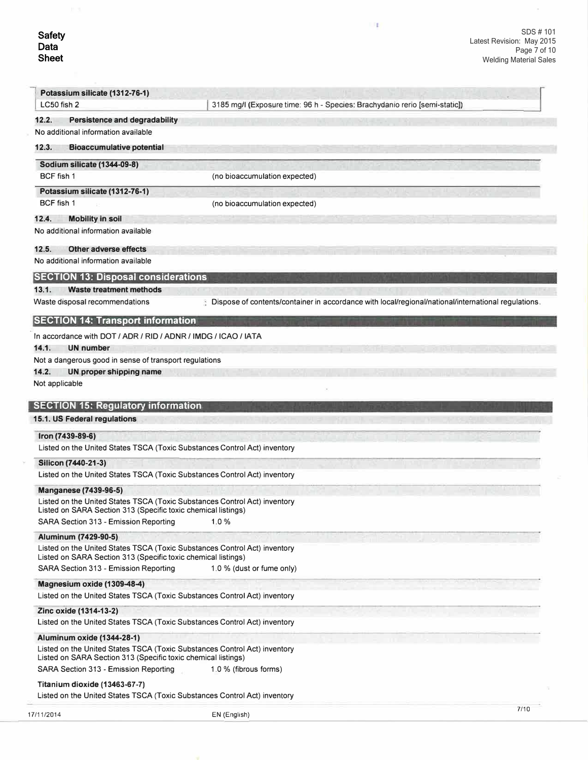$\mathbb{R}^n$ 

| Potassium silicate (1312-76-1)<br>LC50 fish 2                                                                  | 3185 mg/l (Exposure time: 96 h - Species: Brachydanio rerio [semi-static])                            |      |
|----------------------------------------------------------------------------------------------------------------|-------------------------------------------------------------------------------------------------------|------|
| 12.2.<br><b>Persistence and degradability</b>                                                                  |                                                                                                       |      |
| No additional information available                                                                            |                                                                                                       |      |
| 12.3.<br><b>Bioaccumulative potential</b>                                                                      |                                                                                                       |      |
| <b>Sodium silicate (1344-09-8)</b>                                                                             |                                                                                                       |      |
| BCF fish 1                                                                                                     | (no bioaccumulation expected)                                                                         |      |
| Potassium silicate (1312-76-1)                                                                                 |                                                                                                       |      |
| BCF fish 1                                                                                                     | (no bioaccumulation expected)                                                                         |      |
| 12.4.<br><b>Mobility in soil</b>                                                                               |                                                                                                       |      |
| No additional information available                                                                            |                                                                                                       |      |
| 12.5.<br><b>Other adverse effects</b>                                                                          |                                                                                                       |      |
| No additional information available                                                                            |                                                                                                       |      |
| <b>SECTION 13: Disposal considerations</b>                                                                     |                                                                                                       |      |
| 13.1.<br><b>Waste treatment methods</b>                                                                        |                                                                                                       |      |
| Waste disposal recommendations                                                                                 | : Dispose of contents/container in accordance with local/regional/national/international regulations. |      |
| <b>SECTION 14: Transport information</b>                                                                       |                                                                                                       |      |
| In accordance with DOT / ADR / RID / ADNR / IMDG / ICAO / IATA                                                 |                                                                                                       |      |
| 14.1.<br><b>UN number</b>                                                                                      |                                                                                                       |      |
| Not a dangerous good in sense of transport regulations                                                         |                                                                                                       |      |
| 14.2.<br>UN proper shipping name                                                                               |                                                                                                       |      |
| Not applicable                                                                                                 |                                                                                                       |      |
| 15.1. US Federal regulations<br>Iron (7439-89-6)                                                               |                                                                                                       |      |
| Listed on the United States TSCA (Toxic Substances Control Act) inventory                                      |                                                                                                       |      |
| Silicon (7440-21-3)                                                                                            |                                                                                                       |      |
| Listed on the United States TSCA (Toxic Substances Control Act) inventory                                      |                                                                                                       |      |
| <b>Manganese (7439-96-5)</b>                                                                                   |                                                                                                       |      |
| Listed on the United States TSCA (Toxic Substances Control Act) inventory                                      |                                                                                                       |      |
| Listed on SARA Section 313 (Specific toxic chemical listings)<br>SARA Section 313 - Emission Reporting         | 1.0%                                                                                                  |      |
| Aluminum (7429-90-5)                                                                                           |                                                                                                       |      |
| Listed on the United States TSCA (Toxic Substances Control Act) inventory                                      |                                                                                                       |      |
| Listed on SARA Section 313 (Specific toxic chemical listings)                                                  |                                                                                                       |      |
| SARA Section 313 - Emission Reporting                                                                          | 1.0 % (dust or fume only)                                                                             |      |
| Magnesium oxide (1309-48-4)                                                                                    |                                                                                                       |      |
| Listed on the United States TSCA (Toxic Substances Control Act) inventory                                      |                                                                                                       |      |
| Zinc oxide (1314-13-2)<br>Listed on the United States TSCA (Toxic Substances Control Act) inventory            |                                                                                                       |      |
|                                                                                                                |                                                                                                       |      |
| <b>Aluminum oxide (1344-28-1)</b><br>Listed on the United States TSCA (Toxic Substances Control Act) inventory |                                                                                                       |      |
| Listed on SARA Section 313 (Specific toxic chemical listings)                                                  |                                                                                                       |      |
| SARA Section 313 - Emission Reporting                                                                          | 1.0 % (fibrous forms)                                                                                 |      |
| Titanium dioxide (13463-67-7)                                                                                  |                                                                                                       |      |
| Listed on the United States TSCA (Toxic Substances Control Act) inventory                                      |                                                                                                       |      |
| 17/11/2014                                                                                                     | EN (English)                                                                                          | 7/10 |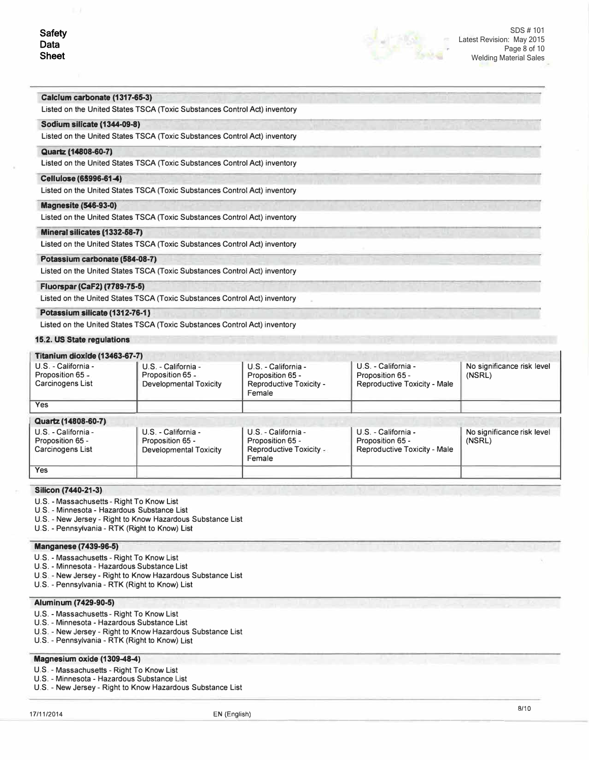

#### **Calclwm carbonate (1317-65-3)**

Listed on the United States TSCA (Toxic Substances Control Act) inventory

## **Sodium silicate (1344-09-8)**

Listed on the United States TSCA (Toxic Substances Control Act) inventory

#### **Quartz (14e08-60-7)**

Listed on the United States TSCA (Toxic Substances Control Act) inventory

## Cellulose (65996-61-4)

Listed on the United States TSCA (Toxic Substances Control Act) inventory

## **Magnesite (546-93-0)**

Listed on the United States TSCA (Toxic Substances Control Act) inventory

## **Mineral silicates (1332-68-7)**

Listed on the United States TSCA (Toxic Substances Control Act) inventory

## **Potassfum carbonate (584-08-7)**

Listed on the United States TSCA (Toxic Substances Control Act) inventory

## **Fluorspar (CaF2) (7789-75-5)**

Listed on the United States TSCA (Toxic Substances Control Act) inventory

## **Potassium silicate (1312-76-1:}**

Listed on the United States TSCA (Toxic Substances Control Act) inventory

## **15.2. US State regulations**

# **Titanium dioxide (13463-67-7)**

| <b>FIGHIUIH QIUAIUC (19409-07-7)</b>                        |                                                                          |                                                                                   |                                                                         |                                      |
|-------------------------------------------------------------|--------------------------------------------------------------------------|-----------------------------------------------------------------------------------|-------------------------------------------------------------------------|--------------------------------------|
| U.S. - California -<br>Proposition 65 -<br>Carcinogens List | U.S. - California -<br>Proposition 65 -<br><b>Developmental Toxicity</b> | U.S. - California -<br>Proposition 65 -<br>Reproductive Toxicity -<br>Female      | U.S. - California -<br>Proposition 65 -<br>Reproductive Toxicity - Male | No significance risk level<br>(NSRL) |
| <b>Yes</b>                                                  |                                                                          |                                                                                   |                                                                         |                                      |
| Quartz (14808-60-7)                                         |                                                                          |                                                                                   |                                                                         |                                      |
| U.S. - California -<br>Proposition 65 -<br>Carcinogens List | U.S. - California -<br>Proposition 65 -<br><b>Developmental Toxicity</b> | U.S. - California -<br>Proposition 65 -<br><b>Reproductive Toxicity</b><br>Female | U.S. - California -<br>Proposition 65 -<br>Reproductive Toxicity - Male | No significance risk level<br>(NSRL) |
| <b>Yes</b>                                                  |                                                                          |                                                                                   |                                                                         |                                      |

#### **Silicon (7440-21-3)**

- U.S. Massachusetts Right To Know List
- U.S. Minnesota Hazardous Substance List
- U.S. New Jersey Right to Know Hazardous Substance List

U.S. - Pennsylvania - RTK (Right to Know) List

## **Manganese (7439-96-5)**

- U.S. Massachusetts Right To Know List
- U.S. Minnesota Hazardous Substance List
- U.S. New Jersey Right to Know Hazardous Substance List
- U.S. Pennsylvania RTK (Right to Know) List

## **Aluminum (7429-90-5)**

- U.S. Massachusetts Right To Know List
- U.S. Minnesota Hazardous Substance List
- U.S. New Jersey Right to Know Hazardous Substance List
- U.S. Pennsylvania RTK (Right to Know) List

## **Magnesium oxide (1309-48-4)**

- U.S. Massachusetts Right To Know List
- U.S. Minnesota Hazardous Substance List
- U.S. New Jersey Right to Know Hazardous Substance List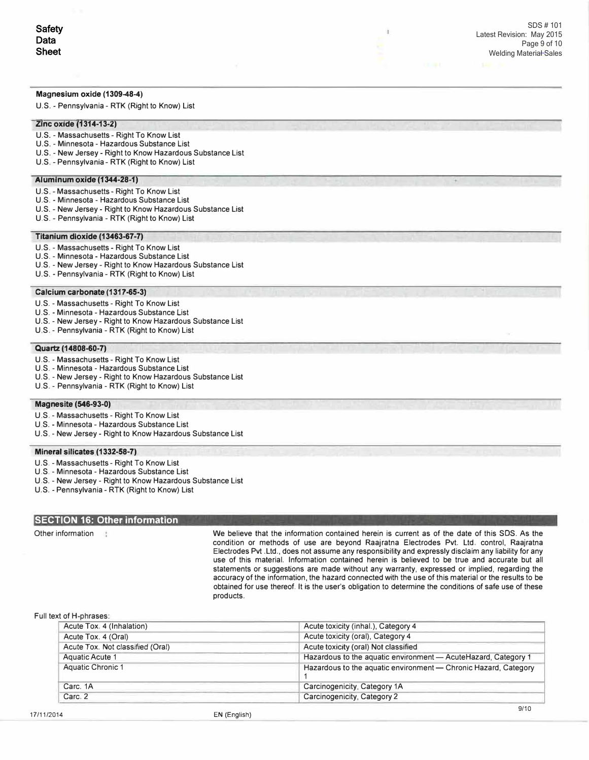## **Magnesium oxide (1309-48-4)**

U.S. - Pennsylvania - RTK (Right to Know) List

#### **Zinc oxide (1314-13-2)**

- U.S. Massachusetts Right To Know List
- U.S. Minnesota Hazardous Substance List
- U.S. New Jersey Right to Know Hazardous Substance List
- U.S. Pennsylvania RTK (Right to Know) List

## **Aiumlnum oxide (1344-28-1)**

- U.S. Massachusetts Right To Know List
- U.S. Minnesota Hazardous Substance List
- U.S. New Jersey Right to Know Hazardous Substance List
- U.S. Pennsylvania RTK (Right to Know) List

#### **Titanium dioxide (13463-67-7)**

- U.S. Massachusetts Right To Know List
- U.S. Minnesota Hazardous Substance List
- U.S. New Jersey Right to Know Hazardous Substance List
- U.S. Pennsylvania RTK (Right to Know) List

#### **Calcium carbonate (1317-65-3)**

- U.S. Massachusetts Right To Know List
- U.S. Minnesota Hazardous Substance List
- U.S. New Jersey Right to Know Hazardous Substance List
- U.S. Pennsylvania RTK (Right to Know) List

## **Quartz (14808-60-7)**

- U.S. Massachusetts Right To Know List
- U.S. Minnesota Hazardous Substance List
- U.S. New Jersey Right to Know Hazardous Substance List
- U.S. Pennsylvania RTK (Right to Know) List

## **Magnesite (546-93-0)**

- U.S. Massachusetts Right To Know List
- U.S. Minnesota Hazardous Substance List
- U.S. New Jersey Right to Know Hazardous Substance List

#### **Mineral silicates (1332-58-7)**

- U.S. Massachusetts Right To Know List
- U.S. Minnesota Hazardous Substance List
- U.S. New Jersey Right to Know Hazardous Substance List
- U.S. Pennsylvania RTK (Right to Know) List

## **SECTION 16: Other information**

Other information We believe that the information contained herein is current as of the date of this SOS. As the condition or methods of use are beyond Raajratna Electrodes Pvt. Ltd. control, Raajratna Electrodes Pvt .Ltd., does not assume any responsibility and expressly disclaim any liability for any use of this material. Information contained herein is believed to be true and accurate but all statements or suggestions are made without any warranty, expressed or implied, regarding the accuracy of the information, the hazard connected with the use of this material or the results to be obtained for use thereof. It is the user's obligation to determine the conditions of safe use of these products.

I.

#### Full text of H-phrases:

| Acute toxicity (inhal.), Category 4                             |  |  |
|-----------------------------------------------------------------|--|--|
| Acute toxicity (oral), Category 4                               |  |  |
| Acute toxicity (oral) Not classified                            |  |  |
| Hazardous to the aquatic environment - AcuteHazard, Category 1  |  |  |
| Hazardous to the aquatic environment - Chronic Hazard, Category |  |  |
| Carcinogenicity, Category 1A                                    |  |  |
| Carcinogenicity, Category 2                                     |  |  |
|                                                                 |  |  |